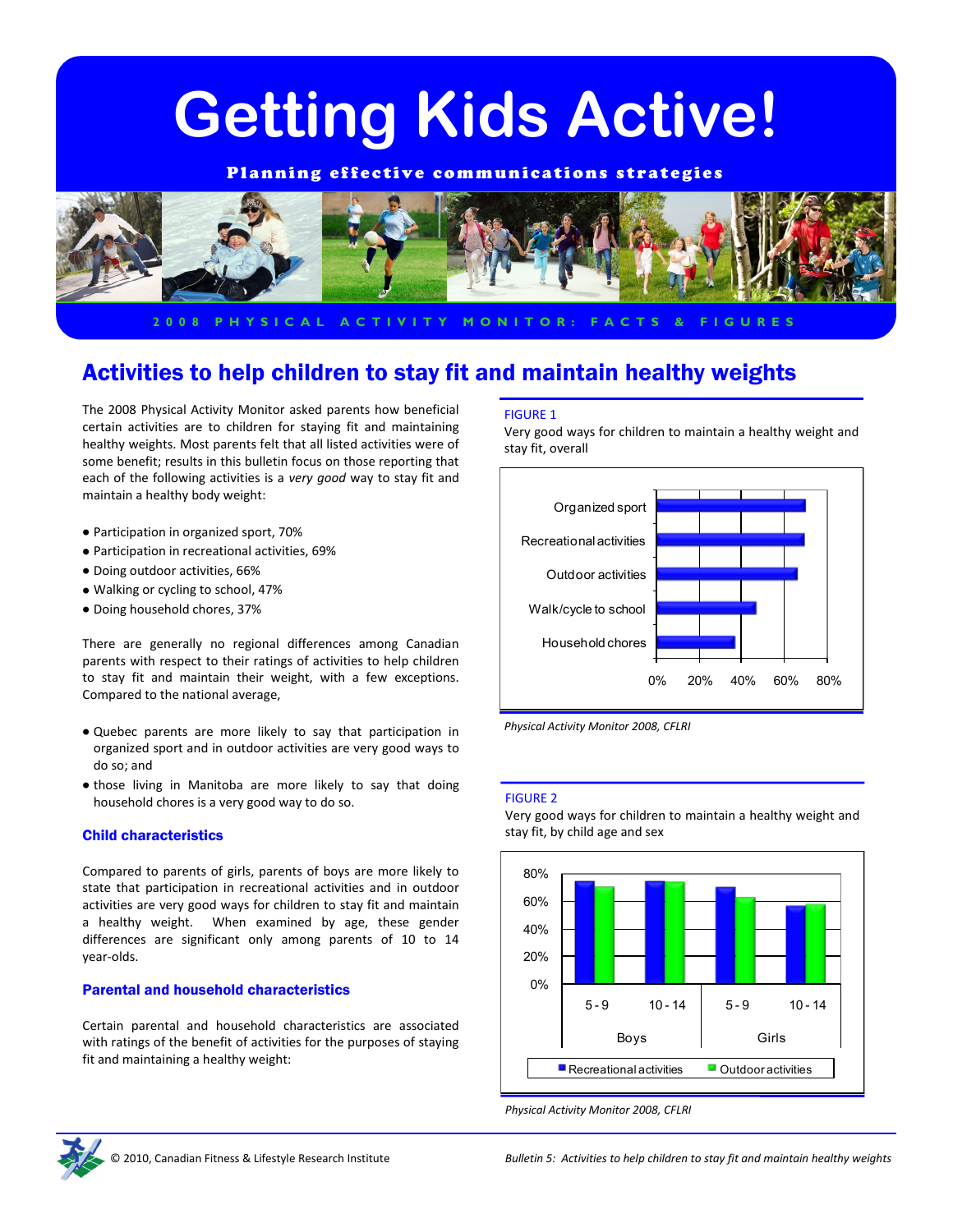# **Getting Kids Active!**

Planning effective communications strategies



### **2 0 0 8 P H Y S I C A L A C T I V I T Y M O N I T O R : F A C T S & F I G U R E S**

## Activities to help children to stay fit and maintain healthy weights

The 2008 Physical Activity Monitor asked parents how beneficial certain activities are to children for staying fit and maintaining healthy weights. Most parents felt that all listed activities were of some benefit; results in this bulletin focus on those reporting that each of the following activities is a *very good* way to stay fit and maintain a healthy body weight:

- Participation in organized sport, 70%
- Participation in recreational activities, 69%
- Doing outdoor activities, 66%
- Walking or cycling to school, 47%
- Doing household chores, 37%

There are generally no regional differences among Canadian parents with respect to their ratings of activities to help children to stay fit and maintain their weight, with a few exceptions. Compared to the national average,

- Quebec parents are more likely to say that participation in organized sport and in outdoor activities are very good ways to do so; and
- those living in Manitoba are more likely to say that doing household chores is a very good way to do so.

#### Child characteristics

Compared to parents of girls, parents of boys are more likely to state that participation in recreational activities and in outdoor activities are very good ways for children to stay fit and maintain a healthy weight. When examined by age, these gender differences are significant only among parents of 10 to 14 year-olds.

#### Parental and household characteristics

Certain parental and household characteristics are associated with ratings of the benefit of activities for the purposes of staying fit and maintaining a healthy weight:

#### FIGURE 1

Very good ways for children to maintain a healthy weight and stay fit, overall



*Physical Activity Monitor 2008, CFLRI*

#### FIGURE 2

Very good ways for children to maintain a healthy weight and stay fit, by child age and sex



*Physical Activity Monitor 2008, CFLRI*